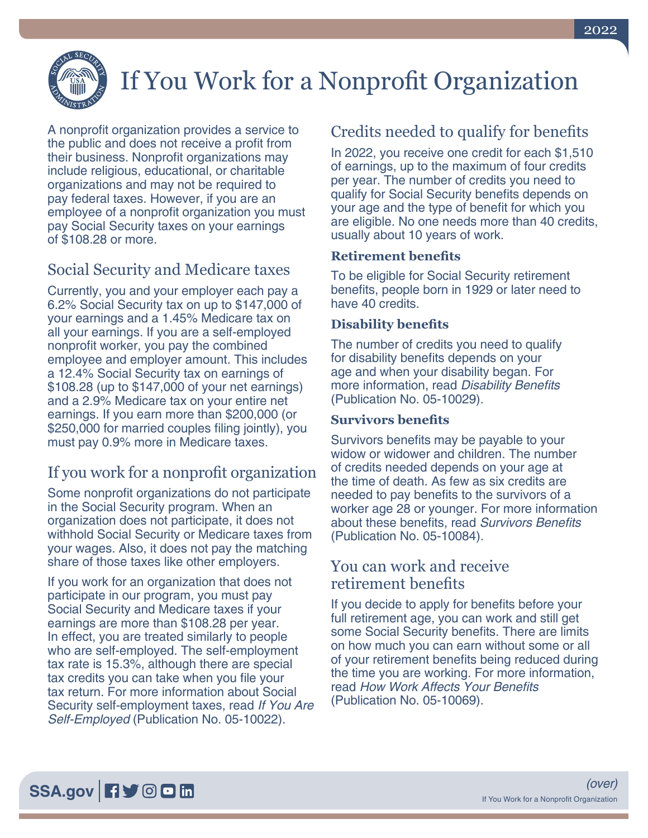

# If You Work for a Nonprofit Organization

A nonprofit organization provides a service to the public and does not receive a profit from their business. Nonprofit organizations may include religious, educational, or charitable organizations and may not be required to pay federal taxes. However, if you are an employee of a nonprofit organization you must pay Social Security taxes on your earnings of \$108.28 or more.

## Social Security and Medicare taxes

Currently, you and your employer each pay a 6.2% Social Security tax on up to \$147,000 of your earnings and a 1.45% Medicare tax on all your earnings. If you are a self-employed nonprofit worker, you pay the combined employee and employer amount. This includes a 12.4% Social Security tax on earnings of \$108.28 (up to \$147,000 of your net earnings) and a 2.9% Medicare tax on your entire net earnings. If you earn more than \$200,000 (or \$250,000 for married couples filing jointly), you must pay 0.9% more in Medicare taxes.

## If you work for a nonprofit organization

Some nonprofit organizations do not participate in the Social Security program. When an organization does not participate, it does not withhold Social Security or Medicare taxes from your wages. Also, it does not pay the matching share of those taxes like other employers.

If you work for an organization that does not participate in our program, you must pay Social Security and Medicare taxes if your earnings are more than \$108.28 per year. In effect, you are treated similarly to people who are self-employed. The self-employment tax rate is 15.3%, although there are special tax credits you can take when you file your tax return. For more information about Social Security self-employment taxes, read *[If You Are](https://www.ssa.gov/pubs/EN-05-10022.pdf)  Self-Employed* [\(Publication No. 05-10022\).](https://www.ssa.gov/pubs/EN-05-10022.pdf)

## Credits needed to qualify for benefits

In 2022, you receive one credit for each \$1,510 of earnings, up to the maximum of four credits per year. The number of credits you need to qualify for Social Security benefits depends on your age and the type of benefit for which you are eligible. No one needs more than 40 credits, usually about 10 years of work.

#### **Retirement benefits**

To be eligible for Social Security retirement benefits, people born in 1929 or later need to have 40 credits.

#### **Disability benefits**

The number of credits you need to qualify for disability benefits depends on your age and when your disability began. For more information, read [Disability Benefits](https://www.ssa.gov/pubs/EN-05-10029.pdf) [\(Publication No. 05-10029\).](https://www.ssa.gov/pubs/EN-05-10029.pdf)

#### **Survivors benefits**

Survivors benefits may be payable to your widow or widower and children. The number of credits needed depends on your age at the time of death. As few as six credits are needed to pay benefits to the survivors of a worker age 28 or younger. For more information about these benefits, read [Survivors Benefits](https://www.ssa.gov/pubs/EN-05-10084.pdf) [\(Publication No. 05-10084\).](https://www.ssa.gov/pubs/EN-05-10084.pdf)

## You can work and receive retirement benefits

If you decide to apply for benefits before your full retirement age, you can work and still get some Social Security benefits. There are limits on how much you can earn without some or all of your retirement benefits being reduced during the time you are working. For more information, read [How Work Affects Your Benefits](https://www.ssa.gov/pubs/EN-05-10069.pdf) [\(Publication No. 05-10069\).](https://www.ssa.gov/pubs/EN-05-10069.pdf)